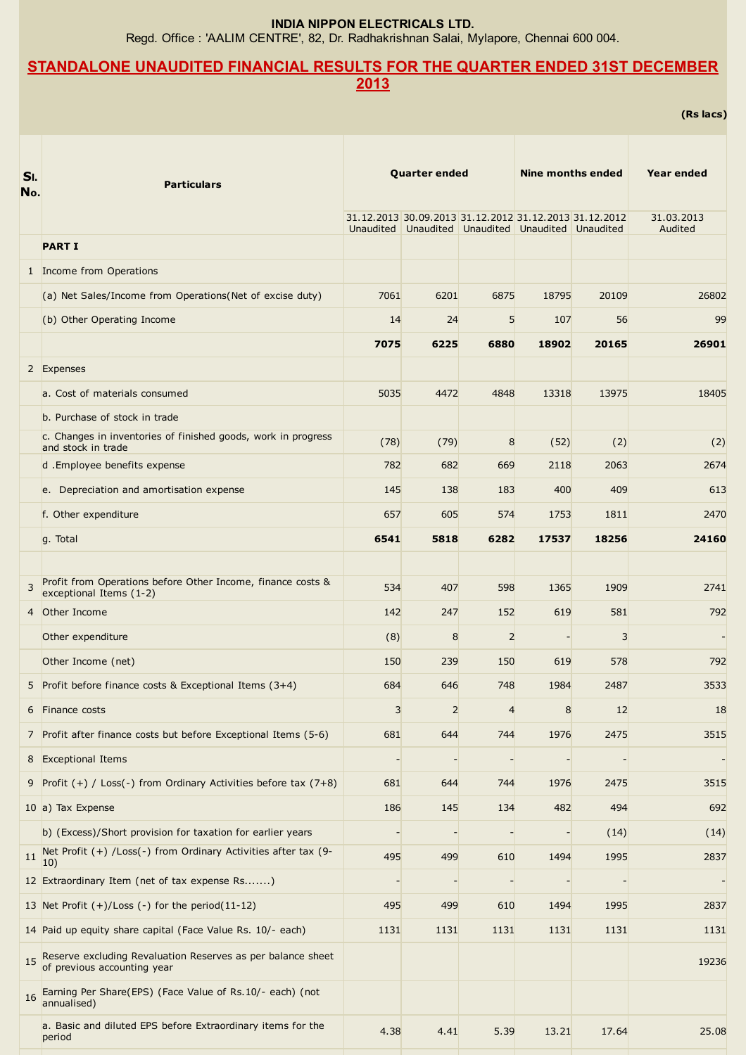INDIA NIPPON ELECTRICALS LTD.

Regd. Office : 'AALIM CENTRE', 82, Dr. Radhakrishnan Salai, Mylapore, Chennai 600 004.

## STANDALONE UNAUDITED FINANCIAL RESULTS FOR THE QUARTER ENDED 31ST DECEMBER 2013

(Rs lacs)

| SI.<br>No. | <b>Particulars</b>                                                                         | <b>Quarter ended</b> |                |                                                                                                             | Nine months ended |       | Year ended            |
|------------|--------------------------------------------------------------------------------------------|----------------------|----------------|-------------------------------------------------------------------------------------------------------------|-------------------|-------|-----------------------|
|            |                                                                                            |                      |                | 31.12.2013 30.09.2013 31.12.2012 31.12.2013 31.12.2012<br>Unaudited Unaudited Unaudited Unaudited Unaudited |                   |       | 31.03.2013<br>Audited |
|            | <b>PART I</b>                                                                              |                      |                |                                                                                                             |                   |       |                       |
|            | 1 Income from Operations                                                                   |                      |                |                                                                                                             |                   |       |                       |
|            | (a) Net Sales/Income from Operations (Net of excise duty)                                  | 7061                 | 6201           | 6875                                                                                                        | 18795             | 20109 | 26802                 |
|            | (b) Other Operating Income                                                                 | 14                   | 24             | 5                                                                                                           | 107               | 56    | 99                    |
|            |                                                                                            | 7075                 | 6225           | 6880                                                                                                        | 18902             | 20165 | 26901                 |
|            | 2 Expenses                                                                                 |                      |                |                                                                                                             |                   |       |                       |
|            | a. Cost of materials consumed                                                              | 5035                 | 4472           | 4848                                                                                                        | 13318             | 13975 | 18405                 |
|            | b. Purchase of stock in trade                                                              |                      |                |                                                                                                             |                   |       |                       |
|            | c. Changes in inventories of finished goods, work in progress<br>and stock in trade        | (78)                 | (79)           | 8                                                                                                           | (52)              | (2)   | (2)                   |
|            | d .Employee benefits expense                                                               | 782                  | 682            | 669                                                                                                         | 2118              | 2063  | 2674                  |
|            | e. Depreciation and amortisation expense                                                   | 145                  | 138            | 183                                                                                                         | 400               | 409   | 613                   |
|            | f. Other expenditure                                                                       | 657                  | 605            | 574                                                                                                         | 1753              | 1811  | 2470                  |
|            | g. Total                                                                                   | 6541                 | 5818           | 6282                                                                                                        | 17537             | 18256 | 24160                 |
|            |                                                                                            |                      |                |                                                                                                             |                   |       |                       |
| 3          | Profit from Operations before Other Income, finance costs &<br>exceptional Items (1-2)     | 534                  | 407            | 598                                                                                                         | 1365              | 1909  | 2741                  |
| 4          | Other Income                                                                               | 142                  | 247            | 152                                                                                                         | 619               | 581   | 792                   |
|            | Other expenditure                                                                          | (8)                  | 8              | $\overline{2}$                                                                                              |                   | 3     |                       |
|            | Other Income (net)                                                                         | 150                  | 239            | 150                                                                                                         | 619               | 578   | 792                   |
|            | 5 Profit before finance costs & Exceptional Items (3+4)                                    | 684                  | 646            | 748                                                                                                         | 1984              | 2487  | 3533                  |
|            | 6 Finance costs                                                                            | 3                    | $\overline{2}$ | $\overline{4}$                                                                                              | 8                 | 12    | 18                    |
|            | 7 Profit after finance costs but before Exceptional Items (5-6)                            | 681                  | 644            | 744                                                                                                         | 1976              | 2475  | 3515                  |
|            | 8 Exceptional Items                                                                        |                      |                |                                                                                                             |                   |       |                       |
|            | 9 Profit $(+)$ / Loss(-) from Ordinary Activities before tax $(7+8)$                       | 681                  | 644            | 744                                                                                                         | 1976              | 2475  | 3515                  |
|            | 10 a) Tax Expense                                                                          | 186                  | 145            | 134                                                                                                         | 482               | 494   | 692                   |
|            | b) (Excess)/Short provision for taxation for earlier years                                 |                      |                |                                                                                                             |                   | (14)  | (14)                  |
| 11         | Net Profit (+) /Loss(-) from Ordinary Activities after tax (9-<br>10)                      | 495                  | 499            | 610                                                                                                         | 1494              | 1995  | 2837                  |
|            | 12 Extraordinary Item (net of tax expense Rs)                                              |                      |                |                                                                                                             |                   |       |                       |
|            | 13 Net Profit $(+)/$ Loss $(-)$ for the period $(11-12)$                                   | 495                  | 499            | 610                                                                                                         | 1494              | 1995  | 2837                  |
|            | 14 Paid up equity share capital (Face Value Rs. 10/- each)                                 | 1131                 | 1131           | 1131                                                                                                        | 1131              | 1131  | 1131                  |
| 15         | Reserve excluding Revaluation Reserves as per balance sheet<br>of previous accounting year |                      |                |                                                                                                             |                   |       | 19236                 |
| 16         | Earning Per Share(EPS) (Face Value of Rs.10/- each) (not<br>annualised)                    |                      |                |                                                                                                             |                   |       |                       |
|            | a. Basic and diluted EPS before Extraordinary items for the<br>period                      | 4.38                 | 4.41           | 5.39                                                                                                        | 13.21             | 17.64 | 25.08                 |